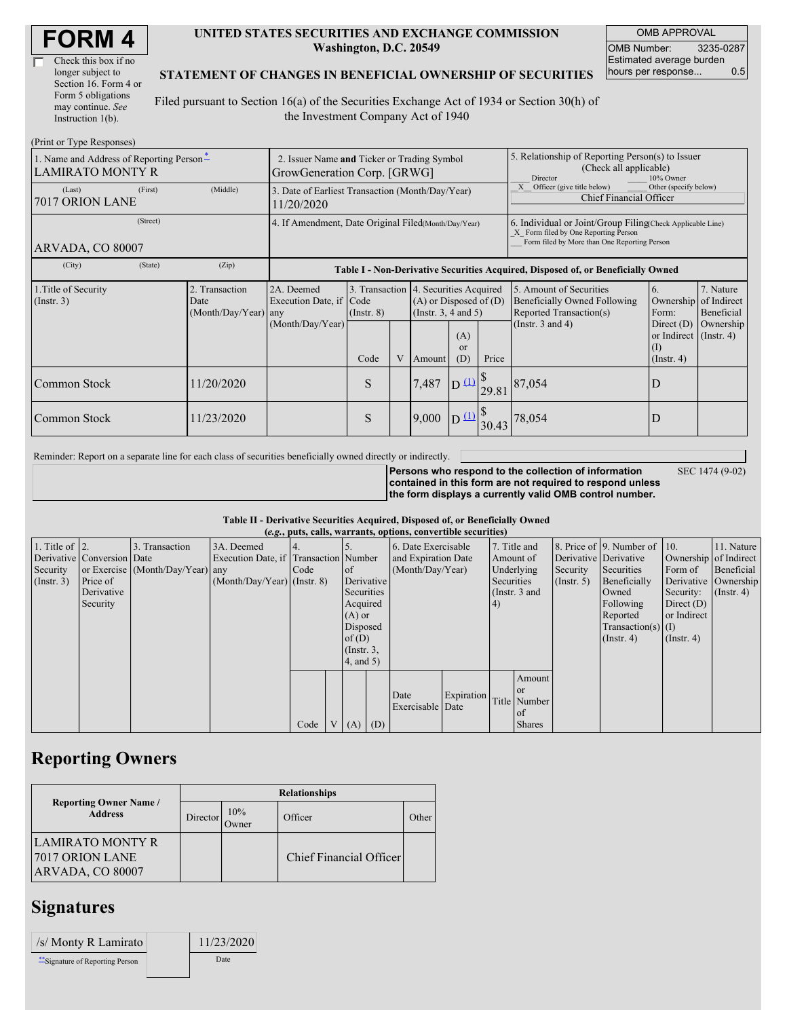| Check this box if no  |
|-----------------------|
| longer subject to     |
| Section 16. Form 4 or |
| Form 5 obligations    |
| may continue. See     |
| Instruction $1(b)$ .  |

#### **UNITED STATES SECURITIES AND EXCHANGE COMMISSION Washington, D.C. 20549**

OMB APPROVAL OMB Number: 3235-0287 Estimated average burden hours per response... 0.5

### **STATEMENT OF CHANGES IN BENEFICIAL OWNERSHIP OF SECURITIES**

Filed pursuant to Section 16(a) of the Securities Exchange Act of 1934 or Section 30(h) of the Investment Company Act of 1940

| (Print or Type Responses)                                           |                                                                |                                                  |                                                                                  |               |   |                                                                                             |                                                                                         |       |                                                                                                                                                    |                                                                   |                                        |  |
|---------------------------------------------------------------------|----------------------------------------------------------------|--------------------------------------------------|----------------------------------------------------------------------------------|---------------|---|---------------------------------------------------------------------------------------------|-----------------------------------------------------------------------------------------|-------|----------------------------------------------------------------------------------------------------------------------------------------------------|-------------------------------------------------------------------|----------------------------------------|--|
| 1. Name and Address of Reporting Person-<br><b>LAMIRATO MONTY R</b> |                                                                |                                                  | 2. Issuer Name and Ticker or Trading Symbol<br>GrowGeneration Corp. [GRWG]       |               |   |                                                                                             |                                                                                         |       | 5. Relationship of Reporting Person(s) to Issuer<br>(Check all applicable)<br>10% Owner<br>Director                                                |                                                                   |                                        |  |
| (Last)<br>7017 ORION LANE                                           | 3. Date of Earliest Transaction (Month/Day/Year)<br>11/20/2020 |                                                  |                                                                                  |               |   |                                                                                             | Other (specify below)<br>X Officer (give title below)<br><b>Chief Financial Officer</b> |       |                                                                                                                                                    |                                                                   |                                        |  |
| (Street)<br>ARVADA, CO 80007                                        |                                                                |                                                  | 4. If Amendment, Date Original Filed(Month/Day/Year)                             |               |   |                                                                                             |                                                                                         |       | 6. Individual or Joint/Group Filing Check Applicable Line)<br>X Form filed by One Reporting Person<br>Form filed by More than One Reporting Person |                                                                   |                                        |  |
| (City)                                                              | (State)                                                        | (Zip)                                            | Table I - Non-Derivative Securities Acquired, Disposed of, or Beneficially Owned |               |   |                                                                                             |                                                                                         |       |                                                                                                                                                    |                                                                   |                                        |  |
| 1. Title of Security<br>$($ Instr. 3 $)$                            |                                                                | 2. Transaction<br>Date<br>$(Month/Day/Year)$ any | 2A. Deemed<br>Execution Date, if Code<br>(Month/Day/Year)                        | $($ Instr. 8) |   | 3. Transaction 4. Securities Acquired<br>$(A)$ or Disposed of $(D)$<br>(Insert. 3, 4 and 5) |                                                                                         |       | 5. Amount of Securities<br>Beneficially Owned Following<br>Reported Transaction(s)                                                                 | 6.<br>Ownership<br>Form:                                          | 7. Nature<br>of Indirect<br>Beneficial |  |
|                                                                     |                                                                |                                                  |                                                                                  | Code          | V | Amount                                                                                      | (A)<br><sub>or</sub><br>(D)                                                             | Price | (Instr. $3$ and $4$ )                                                                                                                              | Direct $(D)$<br>or Indirect (Instr. 4)<br>$\rm(I)$<br>(Insert. 4) | Ownership                              |  |
| Common Stock                                                        |                                                                | 11/20/2020                                       |                                                                                  | S             |   | 7,487                                                                                       | D <sub>1</sub>                                                                          | 29.81 | 87,054                                                                                                                                             | D                                                                 |                                        |  |
| Common Stock                                                        |                                                                | 11/23/2020                                       |                                                                                  | S             |   | 9,000                                                                                       | D(1)                                                                                    | 30.43 | 78,054                                                                                                                                             | D                                                                 |                                        |  |

Reminder: Report on a separate line for each class of securities beneficially owned directly or indirectly.

**Persons who respond to the collection of information**

SEC 1474 (9-02)

**contained in this form are not required to respond unless the form displays a currently valid OMB control number.**

**Table II - Derivative Securities Acquired, Disposed of, or Beneficially Owned**

| (e.g., puts, calls, warrants, options, convertible securities) |                            |                                  |                                       |      |                |                 |  |                     |            |            |               |             |                          |                       |                  |
|----------------------------------------------------------------|----------------------------|----------------------------------|---------------------------------------|------|----------------|-----------------|--|---------------------|------------|------------|---------------|-------------|--------------------------|-----------------------|------------------|
| 1. Title of $\vert$ 2.                                         |                            | 3. Transaction                   | 3A. Deemed                            |      |                |                 |  | 6. Date Exercisable |            |            | 7. Title and  |             | 8. Price of 9. Number of | 10.                   | 11. Nature       |
|                                                                | Derivative Conversion Date |                                  | Execution Date, if Transaction Number |      |                |                 |  | and Expiration Date |            |            | Amount of     |             | Derivative Derivative    | Ownership of Indirect |                  |
| Security                                                       |                            | or Exercise (Month/Day/Year) any |                                       | Code |                | of              |  | (Month/Day/Year)    |            |            | Underlying    | Security    | Securities               | Form of               | Beneficial       |
| (Insert. 3)                                                    | Price of                   |                                  | $(Month/Day/Year)$ (Instr. 8)         |      |                | Derivative      |  |                     |            | Securities |               | (Insert. 5) | Beneficially             | Derivative Ownership  |                  |
|                                                                | Derivative                 |                                  |                                       |      |                | Securities      |  |                     |            |            | (Instr. 3 and |             | Owned                    | Security:             | $($ Instr. 4 $)$ |
|                                                                | Security                   |                                  |                                       |      |                | Acquired        |  |                     |            |            |               |             | Following                | Direct $(D)$          |                  |
|                                                                |                            |                                  |                                       |      |                | $(A)$ or        |  |                     |            |            |               |             | Reported                 | or Indirect           |                  |
|                                                                |                            |                                  |                                       |      |                | Disposed        |  |                     |            |            |               |             | $Transaction(s)$ (I)     |                       |                  |
|                                                                |                            |                                  |                                       |      |                | of $(D)$        |  |                     |            |            |               |             | $($ Instr. 4 $)$         | $($ Instr. 4 $)$      |                  |
|                                                                |                            |                                  |                                       |      |                | $($ Instr. $3,$ |  |                     |            |            |               |             |                          |                       |                  |
|                                                                |                            |                                  |                                       |      |                | 4, and 5)       |  |                     |            |            |               |             |                          |                       |                  |
|                                                                |                            |                                  |                                       |      |                |                 |  |                     |            |            | Amount        |             |                          |                       |                  |
|                                                                |                            |                                  |                                       |      |                |                 |  |                     |            |            | l or          |             |                          |                       |                  |
|                                                                |                            |                                  |                                       |      |                |                 |  | Date                | Expiration |            | Title Number  |             |                          |                       |                  |
|                                                                |                            |                                  |                                       |      |                |                 |  | Exercisable Date    |            |            | of            |             |                          |                       |                  |
|                                                                |                            |                                  |                                       | Code | V <sub>1</sub> | $(A)$ $(D)$     |  |                     |            |            | <b>Shares</b> |             |                          |                       |                  |

### **Reporting Owners**

|                                                                | <b>Relationships</b> |              |                         |       |  |  |  |  |  |
|----------------------------------------------------------------|----------------------|--------------|-------------------------|-------|--|--|--|--|--|
| <b>Reporting Owner Name /</b><br><b>Address</b>                | Director             | 10%<br>)wner | Officer                 | Other |  |  |  |  |  |
| LAMIRATO MONTY R<br><b>7017 ORION LANE</b><br>ARVADA, CO 80007 |                      |              | Chief Financial Officer |       |  |  |  |  |  |

## **Signatures**

| /s/ Monty R Lamirato             | 11/23/2020 |
|----------------------------------|------------|
| ** Signature of Reporting Person | Date       |